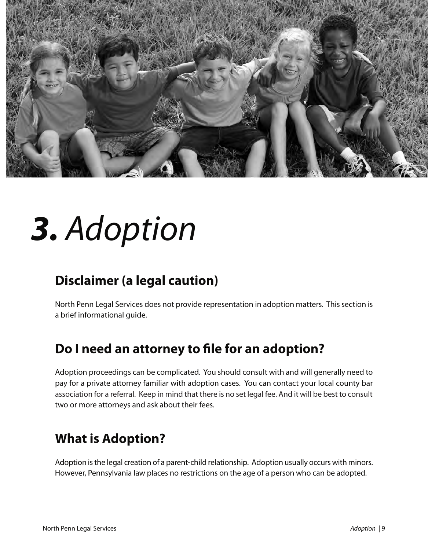

# *3. Adoption*

## **Disclaimer (a legal caution)**

North Penn Legal Services does not provide representation in adoption matters. This section is a brief informational guide.

## **Do I need an attorney to file for an adoption?**

Adoption proceedings can be complicated. You should consult with and will generally need to pay for a private attorney familiar with adoption cases. You can contact your local county bar association for a referral. Keep in mind that there is no set legal fee. And it will be best to consult two or more attorneys and ask about their fees.

## **What is Adoption?**

Adoption is the legal creation of a parent-child relationship. Adoption usually occurs with minors. However, Pennsylvania law places no restrictions on the age of a person who can be adopted.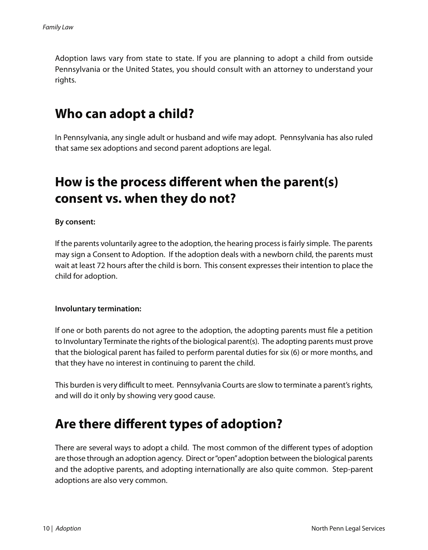Adoption laws vary from state to state. If you are planning to adopt a child from outside Pennsylvania or the United States, you should consult with an attorney to understand your rights.

## **Who can adopt a child?**

In Pennsylvania, any single adult or husband and wife may adopt. Pennsylvania has also ruled that same sex adoptions and second parent adoptions are legal.

## **How is the process different when the parent(s) consent vs. when they do not?**

#### **By consent:**

If the parents voluntarily agree to the adoption, the hearing process is fairly simple. The parents may sign a Consent to Adoption. If the adoption deals with a newborn child, the parents must wait at least 72 hours after the child is born. This consent expresses their intention to place the child for adoption.

#### **Involuntary termination:**

If one or both parents do not agree to the adoption, the adopting parents must file a petition to Involuntary Terminate the rights of the biological parent(s). The adopting parents must prove that the biological parent has failed to perform parental duties for six (6) or more months, and that they have no interest in continuing to parent the child.

This burden is very difficult to meet. Pennsylvania Courts are slow to terminate a parent's rights, and will do it only by showing very good cause.

### **Are there different types of adoption?**

There are several ways to adopt a child. The most common of the different types of adoption are those through an adoption agency. Direct or "open" adoption between the biological parents and the adoptive parents, and adopting internationally are also quite common. Step-parent adoptions are also very common.